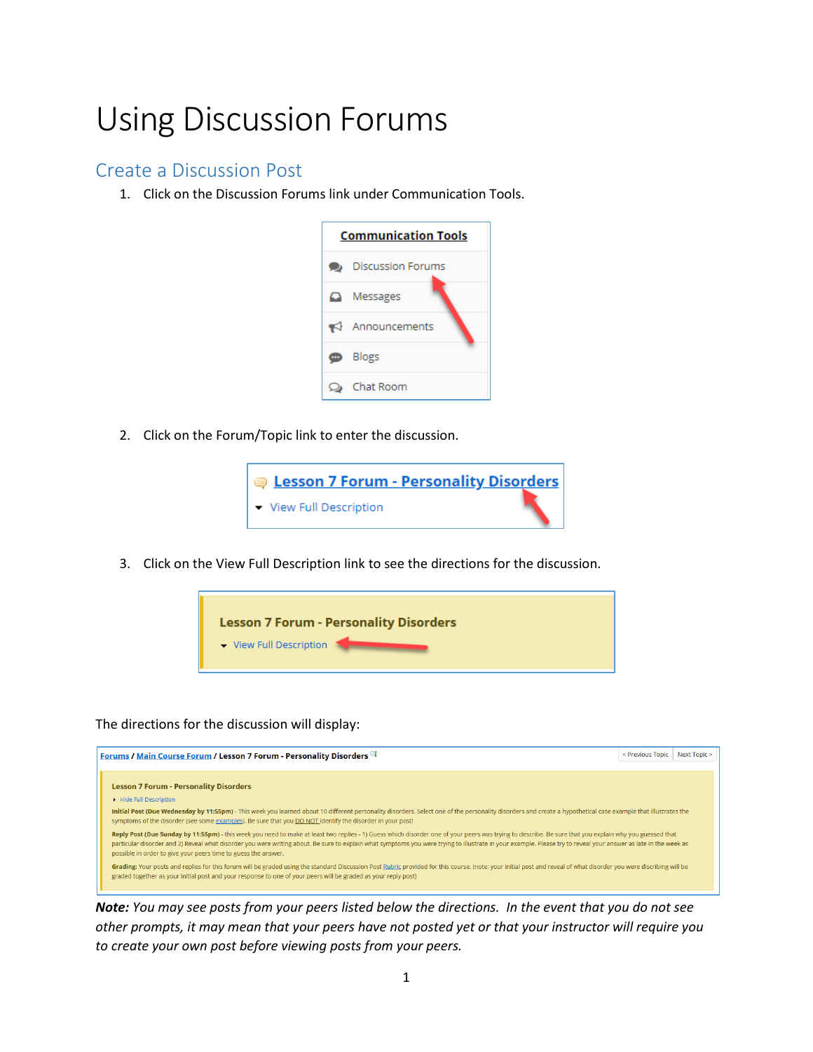## Using Discussion Forums

## Create a Discussion Post

1. Click on the Discussion Forums link under Communication Tools.



2. Click on the Forum/Topic link to enter the discussion.



3. Click on the View Full Description link to see the directions for the discussion.



The directions for the discussion will display:



*Note: You may see posts from your peers listed below the directions. In the event that you do not see other prompts, it may mean that your peers have not posted yet or that your instructor will require you to create your own post before viewing posts from your peers.*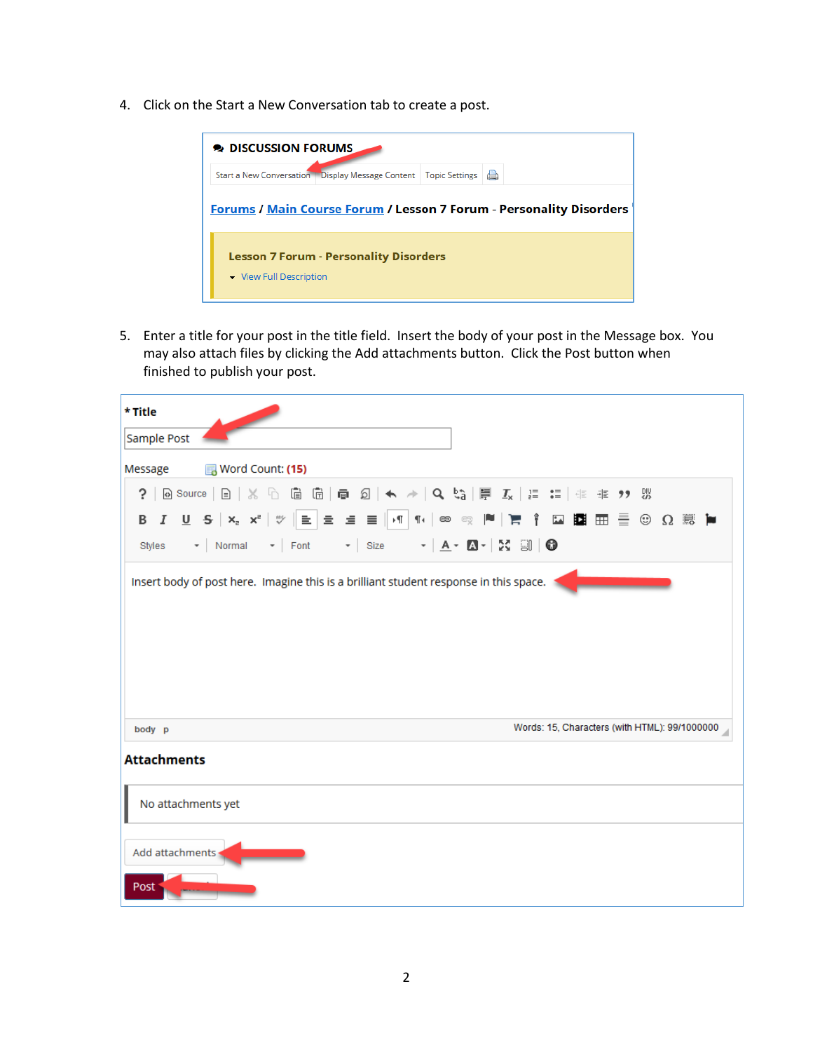4. Click on the Start a New Conversation tab to create a post.



5. Enter a title for your post in the title field. Insert the body of your post in the Message box. You may also attach files by clicking the Add attachments button. Click the Post button when finished to publish your post.

| * Title                                                                                                                                                                                                                                                              |
|----------------------------------------------------------------------------------------------------------------------------------------------------------------------------------------------------------------------------------------------------------------------|
| Sample Post                                                                                                                                                                                                                                                          |
| Message <b>i</b> 网 Word Count: (15)                                                                                                                                                                                                                                  |
|                                                                                                                                                                                                                                                                      |
| B <i>I</i> U S X2 X <sup>2</sup>   ♥ │ ≧ │ ≘  ≡  ≣ │ √ │ ¶ ⋅ │ ∞ ◎  № │ ); │ ↑ □ 图 ⊞  ⊞   ≣ ⊙  Ω  顾  №<br>Styles $\rightarrow$ Normal $\rightarrow$ Font $\rightarrow$ Size $\rightarrow$ $\mathbf{A} \rightarrow \mathbf{B} \rightarrow$ $\mathbf{X}$ $\Box$ $\Box$ |
| Insert body of post here. Imagine this is a brilliant student response in this space.                                                                                                                                                                                |
| Words: 15, Characters (with HTML): 99/1000000<br>body p                                                                                                                                                                                                              |
| <b>Attachments</b>                                                                                                                                                                                                                                                   |
| No attachments yet                                                                                                                                                                                                                                                   |
| Add attachments<br>Post                                                                                                                                                                                                                                              |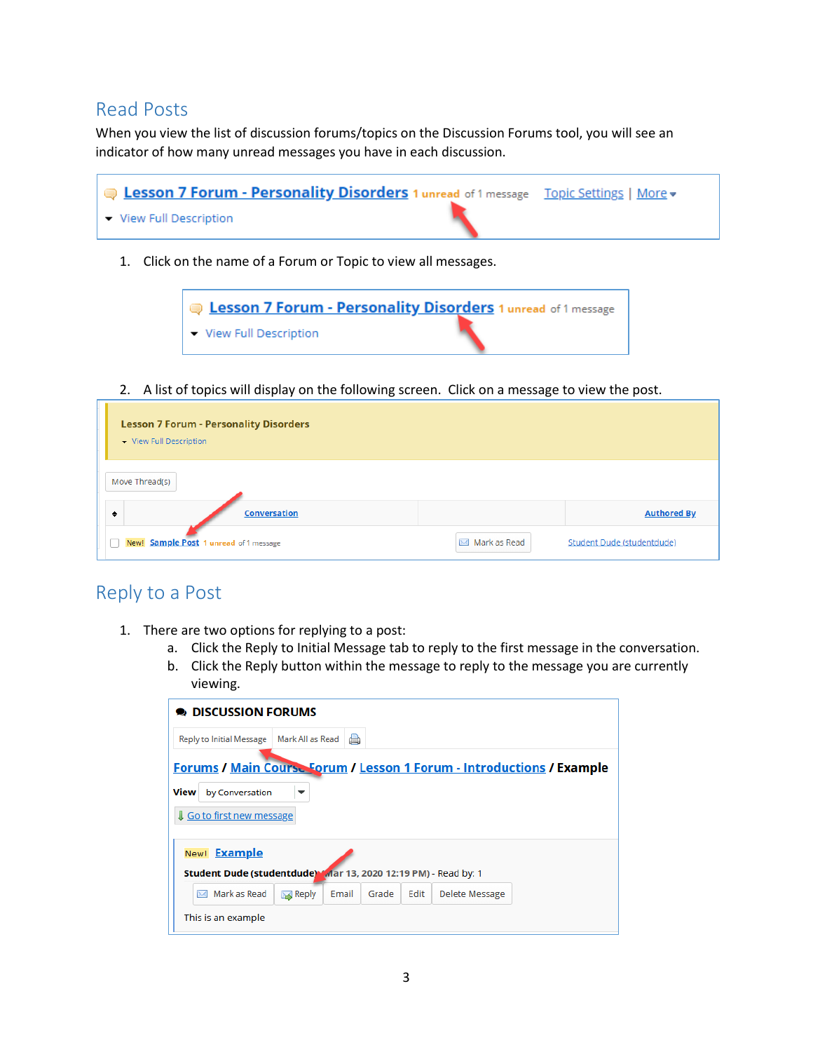## Read Posts

When you view the list of discussion forums/topics on the Discussion Forums tool, you will see an indicator of how many unread messages you have in each discussion.

| <b>Example 2 5 Septem - Personality Disorders</b> 1 unread of 1 message Topic Settings   More . |  |
|-------------------------------------------------------------------------------------------------|--|
| ▼ View Full Description                                                                         |  |

1. Click on the name of a Forum or Topic to view all messages.



2. A list of topics will display on the following screen. Click on a message to view the post.

| <b>Lesson 7 Forum - Personality Disorders</b><br>- View Full Description |              |                            |
|--------------------------------------------------------------------------|--------------|----------------------------|
| Move Thread(s)                                                           |              |                            |
| <b>Conversation</b><br>٠                                                 |              | <b>Authored By</b>         |
| New! Sample Post 1 unread of 1 message                                   | Mark as Read | Student Dude (studentdude) |

## Reply to a Post

Гx

- 1. There are two options for replying to a post:
	- a. Click the Reply to Initial Message tab to reply to the first message in the conversation.
	- b. Click the Reply button within the message to reply to the message you are currently viewing.

| <b>DISCUSSION FORUMS</b>                                                                                                    |                  |       |       |      |                |  |
|-----------------------------------------------------------------------------------------------------------------------------|------------------|-------|-------|------|----------------|--|
| <b>Reply to Initial Message</b>                                                                                             | Mark All as Read | a     |       |      |                |  |
| Forums / Main Course Forum / Lesson 1 Forum - Introductions / Example<br>View<br>by Conversation<br>Go to first new message | ▼                |       |       |      |                |  |
| New! <b>Example</b><br>Student Dude (studentdude) Mar 13, 2020 12:19 PM) - Read by: 1<br>Mark as Read<br>$\sum$             | <b>S</b> Reply   | Email | Grade | Edit | Delete Message |  |
| This is an example                                                                                                          |                  |       |       |      |                |  |